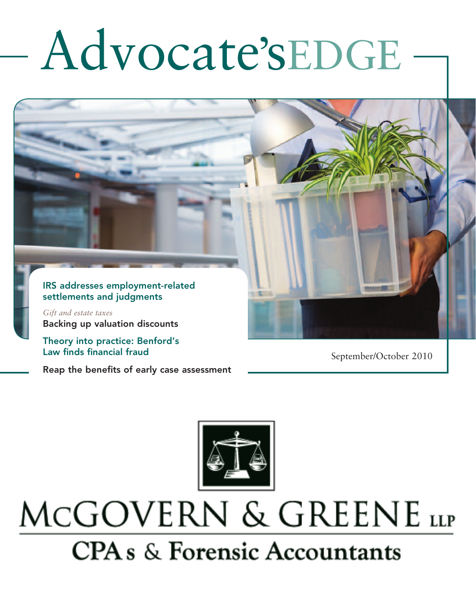# Advocate'sEDGE

#### IRS addresses employment-related settlements and judgments

*Gift and estate taxes*  Backing up valuation discounts

Theory into practice: Benford's Law finds financial fraud

Reap the benefits of early case assessment

September/October 2010



## MCGOVERN & GREENE LLP **CPA** s & Forensic Accountants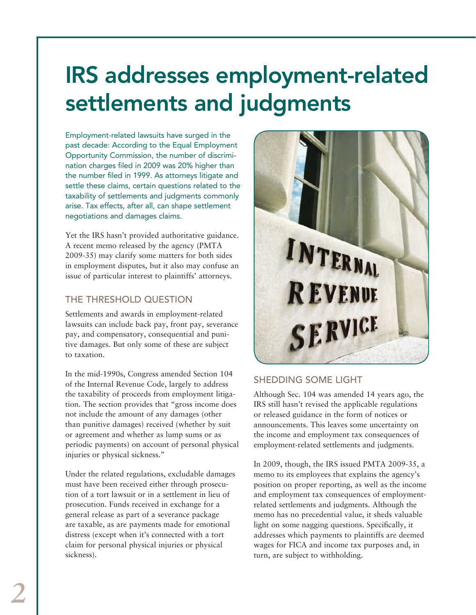## IRS addresses employment-related settlements and judgments

Employment-related lawsuits have surged in the past decade: According to the Equal Employment Opportunity Commission, the number of discrimination charges filed in 2009 was 20% higher than the number filed in 1999. As attorneys litigate and settle these claims, certain questions related to the taxability of settlements and judgments commonly arise. Tax effects, after all, can shape settlement negotiations and damages claims.

Yet the IRS hasn't provided authoritative guidance. A recent memo released by the agency (PMTA 2009-35) may clarify some matters for both sides in employment disputes, but it also may confuse an issue of particular interest to plaintiffs' attorneys.

#### THE THRESHOLD QUESTION

Settlements and awards in employment-related lawsuits can include back pay, front pay, severance pay, and compensatory, consequential and punitive damages. But only some of these are subject to taxation.

In the mid-1990s, Congress amended Section 104 of the Internal Revenue Code, largely to address the taxability of proceeds from employment litigation. The section provides that "gross income does not include the amount of any damages (other than punitive damages) received (whether by suit or agreement and whether as lump sums or as periodic payments) on account of personal physical injuries or physical sickness."

Under the related regulations, excludable damages must have been received either through prosecution of a tort lawsuit or in a settlement in lieu of prosecution. Funds received in exchange for a general release as part of a severance package are taxable, as are payments made for emotional distress (except when it's connected with a tort claim for personal physical injuries or physical sickness).



#### SHEDDING SOME LIGHT

Although Sec. 104 was amended 14 years ago, the IRS still hasn't revised the applicable regulations or released guidance in the form of notices or announcements. This leaves some uncertainty on the income and employment tax consequences of employment-related settlements and judgments.

In 2009, though, the IRS issued PMTA 2009-35, a memo to its employees that explains the agency's position on proper reporting, as well as the income and employment tax consequences of employmentrelated settlements and judgments. Although the memo has no precedential value, it sheds valuable light on some nagging questions. Specifically, it addresses which payments to plaintiffs are deemed wages for FICA and income tax purposes and, in turn, are subject to withholding.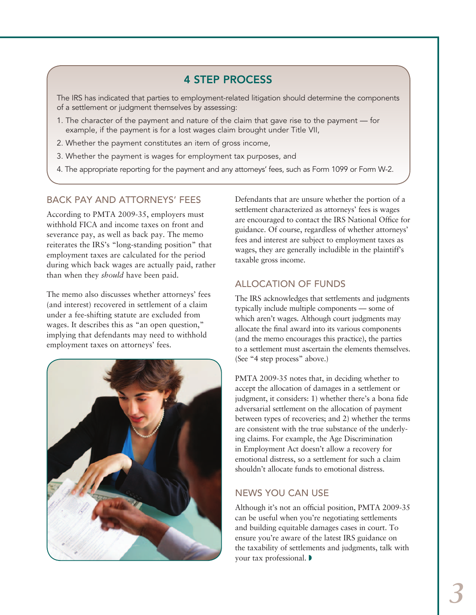#### 4 STEP PROCESS

The IRS has indicated that parties to employment-related litigation should determine the components of a settlement or judgment themselves by assessing:

- 1. The character of the payment and nature of the claim that gave rise to the payment for example, if the payment is for a lost wages claim brought under Title VII,
- 2. Whether the payment constitutes an item of gross income,
- 3. Whether the payment is wages for employment tax purposes, and
- 4. The appropriate reporting for the payment and any attorneys' fees, such as Form 1099 or Form W-2.

#### BACK PAY AND ATTORNEYS' FEES

According to PMTA 2009-35, employers must withhold FICA and income taxes on front and severance pay, as well as back pay. The memo reiterates the IRS's "long-standing position" that employment taxes are calculated for the period during which back wages are actually paid, rather than when they *should* have been paid.

The memo also discusses whether attorneys' fees (and interest) recovered in settlement of a claim under a fee-shifting statute are excluded from wages. It describes this as "an open question," implying that defendants may need to withhold employment taxes on attorneys' fees.



Defendants that are unsure whether the portion of a settlement characterized as attorneys' fees is wages are encouraged to contact the IRS National Office for guidance. Of course, regardless of whether attorneys' fees and interest are subject to employment taxes as wages, they are generally includible in the plaintiff's taxable gross income.

#### ALLOCATION OF FUNDS

The IRS acknowledges that settlements and judgments typically include multiple components — some of which aren't wages. Although court judgments may allocate the final award into its various components (and the memo encourages this practice), the parties to a settlement must ascertain the elements themselves. (See "4 step process" above.)

PMTA 2009-35 notes that, in deciding whether to accept the allocation of damages in a settlement or judgment, it considers: 1) whether there's a bona fide adversarial settlement on the allocation of payment between types of recoveries; and 2) whether the terms are consistent with the true substance of the underlying claims. For example, the Age Discrimination in Employment Act doesn't allow a recovery for emotional distress, so a settlement for such a claim shouldn't allocate funds to emotional distress.

#### NEWS YOU CAN USE

Although it's not an official position, PMTA 2009-35 can be useful when you're negotiating settlements and building equitable damages cases in court. To ensure you're aware of the latest IRS guidance on the taxability of settlements and judgments, talk with your tax professional.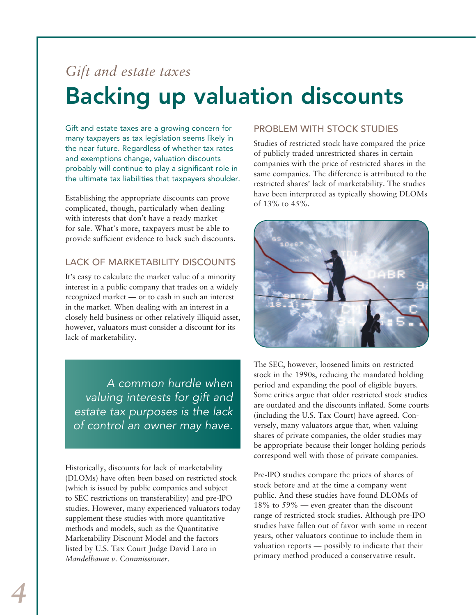### *Gift and estate taxes*  Backing up valuation discounts

Gift and estate taxes are a growing concern for many taxpayers as tax legislation seems likely in the near future. Regardless of whether tax rates and exemptions change, valuation discounts probably will continue to play a significant role in the ultimate tax liabilities that taxpayers shoulder.

Establishing the appropriate discounts can prove complicated, though, particularly when dealing with interests that don't have a ready market for sale. What's more, taxpayers must be able to provide sufficient evidence to back such discounts.

#### LACK OF MARKETABILITY DISCOUNTS

It's easy to calculate the market value of a minority interest in a public company that trades on a widely recognized market — or to cash in such an interest in the market. When dealing with an interest in a closely held business or other relatively illiquid asset, however, valuators must consider a discount for its lack of marketability.

*A common hurdle when valuing interests for gift and estate tax purposes is the lack of control an owner may have.* 

Historically, discounts for lack of marketability (DLOMs) have often been based on restricted stock (which is issued by public companies and subject to SEC restrictions on transferability) and pre-IPO studies. However, many experienced valuators today supplement these studies with more quantitative methods and models, such as the Quantitative Marketability Discount Model and the factors listed by U.S. Tax Court Judge David Laro in *Mandelbaum v. Commissioner*.

#### PROBLEM WITH STOCK STUDIES

Studies of restricted stock have compared the price of publicly traded unrestricted shares in certain companies with the price of restricted shares in the same companies. The difference is attributed to the restricted shares' lack of marketability. The studies have been interpreted as typically showing DLOMs of 13% to 45%.



The SEC, however, loosened limits on restricted stock in the 1990s, reducing the mandated holding period and expanding the pool of eligible buyers. Some critics argue that older restricted stock studies are outdated and the discounts inflated. Some courts (including the U.S. Tax Court) have agreed. Conversely, many valuators argue that, when valuing shares of private companies, the older studies may be appropriate because their longer holding periods correspond well with those of private companies.

Pre-IPO studies compare the prices of shares of stock before and at the time a company went public. And these studies have found DLOMs of 18% to 59% — even greater than the discount range of restricted stock studies. Although pre-IPO studies have fallen out of favor with some in recent years, other valuators continue to include them in valuation reports — possibly to indicate that their primary method produced a conservative result.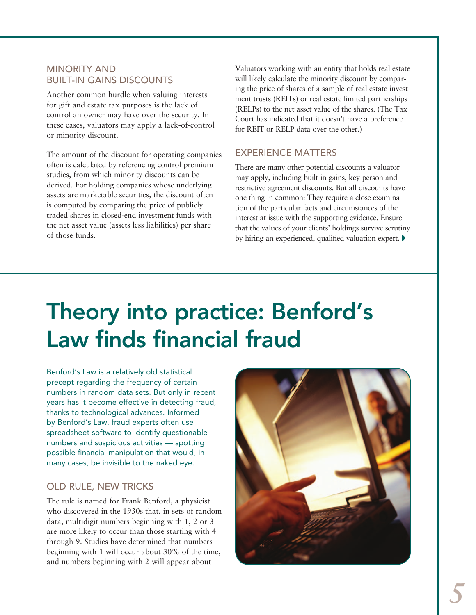#### MINORITY AND BUILT-IN GAINS DISCOUNTS

Another common hurdle when valuing interests for gift and estate tax purposes is the lack of control an owner may have over the security. In these cases, valuators may apply a lack-of-control or minority discount.

The amount of the discount for operating companies often is calculated by referencing control premium studies, from which minority discounts can be derived. For holding companies whose underlying assets are marketable securities, the discount often is computed by comparing the price of publicly traded shares in closed-end investment funds with the net asset value (assets less liabilities) per share of those funds.

Valuators working with an entity that holds real estate will likely calculate the minority discount by comparing the price of shares of a sample of real estate investment trusts (REITs) or real estate limited partnerships (RELPs) to the net asset value of the shares. (The Tax Court has indicated that it doesn't have a preference for REIT or RELP data over the other.)

#### EXPERIENCE MATTERS

There are many other potential discounts a valuator may apply, including built-in gains, key-person and restrictive agreement discounts. But all discounts have one thing in common: They require a close examination of the particular facts and circumstances of the interest at issue with the supporting evidence. Ensure that the values of your clients' holdings survive scrutiny by hiring an experienced, qualified valuation expert.  $\blacktriangleright$ 

## Theory into practice: Benford's Law finds financial fraud

Benford's Law is a relatively old statistical precept regarding the frequency of certain numbers in random data sets. But only in recent years has it become effective in detecting fraud, thanks to technological advances. Informed by Benford's Law, fraud experts often use spreadsheet software to identify questionable numbers and suspicious activities — spotting possible financial manipulation that would, in many cases, be invisible to the naked eye.

#### OLD RULE, NEW TRICKS

The rule is named for Frank Benford, a physicist who discovered in the 1930s that, in sets of random data, multidigit numbers beginning with 1, 2 or 3 are more likely to occur than those starting with 4 through 9. Studies have determined that numbers beginning with 1 will occur about 30% of the time, and numbers beginning with 2 will appear about

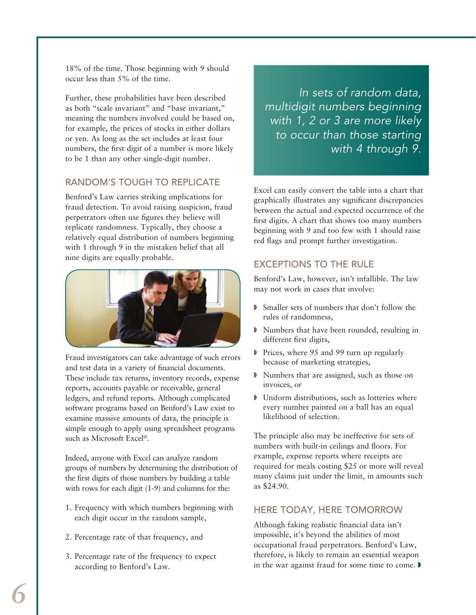18% of the time. Those beginning with 9 should occur less than 5% of the time.

Further, these probabilities have been described as both "scale invariant" and "base invariant," meaning the numbers involved could be based on, for example, the prices of stocks in either dollars or yen. As long as the set includes at least four numbers, the first digit of a number is more likely to be 1 than any other single-digit number.

#### RANDOM'S TOUGH TO REPLICATE

Benford's Law carries striking implications for fraud detection. To avoid raising suspicion, fraud perpetrators often use figures they believe will replicate randomness. Typically, they choose a relatively equal distribution of numbers beginning with 1 through 9 in the mistaken belief that all nine digits are equally probable.



Fraud investigators can take advantage of such errors and test data in a variety of financial documents. These include tax returns, inventory records, expense reports, accounts payable or receivable, general ledgers, and refund reports. Although complicated software programs based on Benford's Law exist to examine massive amounts of data, the principle is simple enough to apply using spreadsheet programs such as Microsoft Excel®.

Indeed, anyone with Excel can analyze random groups of numbers by determining the distribution of the first digits of those numbers by building a table with rows for each digit (1-9) and columns for the:

- 1. Frequency with which numbers beginning with each digit occur in the random sample,
- 2. Percentage rate of that frequency, and
- 3. Percentage rate of the frequency to expect according to Benford's Law.

*In sets of random data, multidigit numbers beginning with 1, 2 or 3 are more likely to occur than those starting with 4 through 9.*

Excel can easily convert the table into a chart that graphically illustrates any significant discrepancies between the actual and expected occurrence of the first digits. A chart that shows too many numbers beginning with 9 and too few with 1 should raise red flags and prompt further investigation.

#### EXCEPTIONS TO THE RULE

Benford's Law, however, isn't infallible. The law may not work in cases that involve:

- **Smaller sets of numbers that don't follow the** rules of randomness,
- w Numbers that have been rounded, resulting in different first digits,
- $\triangleright$  Prices, where 95 and 99 turn up regularly because of marketing strategies,
- Wumbers that are assigned, such as those on invoices, or
- $\blacktriangleright$  Uniform distributions, such as lotteries where every number painted on a ball has an equal likelihood of selection.

The principle also may be ineffective for sets of numbers with built-in ceilings and floors. For example, expense reports where receipts are required for meals costing \$25 or more will reveal many claims just under the limit, in amounts such as \$24.90.

#### HERE TODAY, HERE TOMORROW

Although faking realistic financial data isn't impossible, it's beyond the abilities of most occupational fraud perpetrators. Benford's Law, therefore, is likely to remain an essential weapon in the war against fraud for some time to come.  $\blacktriangleright$